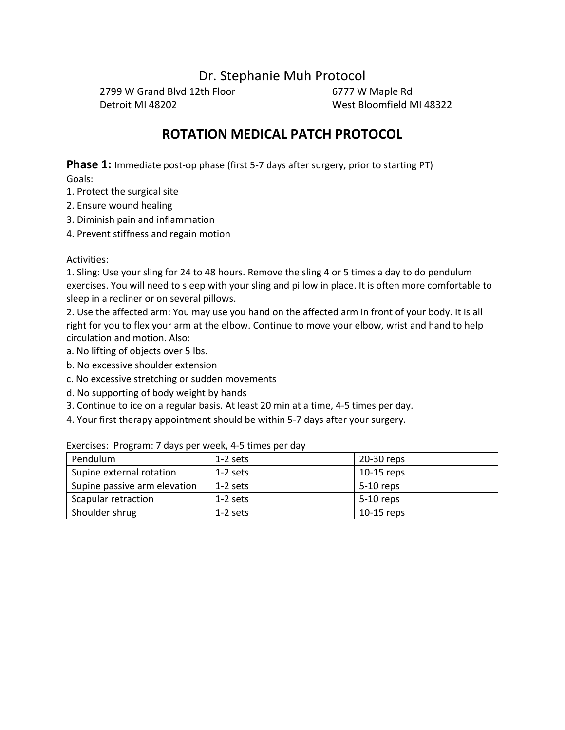Dr. Stephanie Muh Protocol

2799 W Grand Blvd 12th Floor 6777 W Maple Rd Detroit MI 48202 West Bloomfield MI 48322

# **ROTATION MEDICAL PATCH PROTOCOL**

**Phase 1:** Immediate post-op phase (first 5-7 days after surgery, prior to starting PT)

Goals:

- 1. Protect the surgical site
- 2. Ensure wound healing
- 3. Diminish pain and inflammation
- 4. Prevent stiffness and regain motion

### Activities:

1. Sling: Use your sling for 24 to 48 hours. Remove the sling 4 or 5 times a day to do pendulum exercises. You will need to sleep with your sling and pillow in place. It is often more comfortable to sleep in a recliner or on several pillows.

2. Use the affected arm: You may use you hand on the affected arm in front of your body. It is all right for you to flex your arm at the elbow. Continue to move your elbow, wrist and hand to help circulation and motion. Also:

- a. No lifting of objects over 5 lbs.
- b. No excessive shoulder extension
- c. No excessive stretching or sudden movements
- d. No supporting of body weight by hands
- 3. Continue to ice on a regular basis. At least 20 min at a time, 4-5 times per day.
- 4. Your first therapy appointment should be within 5-7 days after your surgery.

| Pendulum                     | 1-2 sets   | 20-30 reps   |
|------------------------------|------------|--------------|
| Supine external rotation     | 1-2 sets   | $10-15$ reps |
| Supine passive arm elevation | $1-2$ sets | $5-10$ reps  |
| Scapular retraction          | 1-2 sets   | 5-10 reps    |
| Shoulder shrug               | $1-2$ sets | $10-15$ reps |

Exercises: Program: 7 days per week, 4-5 times per day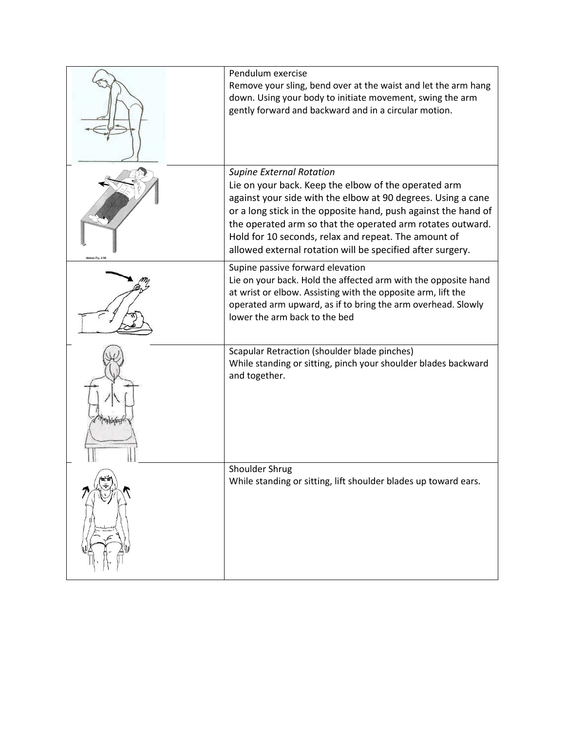| Pendulum exercise<br>Remove your sling, bend over at the waist and let the arm hang<br>down. Using your body to initiate movement, swing the arm<br>gently forward and backward and in a circular motion.                                                                                                                                                                                                     |
|---------------------------------------------------------------------------------------------------------------------------------------------------------------------------------------------------------------------------------------------------------------------------------------------------------------------------------------------------------------------------------------------------------------|
| <b>Supine External Rotation</b><br>Lie on your back. Keep the elbow of the operated arm<br>against your side with the elbow at 90 degrees. Using a cane<br>or a long stick in the opposite hand, push against the hand of<br>the operated arm so that the operated arm rotates outward.<br>Hold for 10 seconds, relax and repeat. The amount of<br>allowed external rotation will be specified after surgery. |
| Supine passive forward elevation<br>Lie on your back. Hold the affected arm with the opposite hand<br>at wrist or elbow. Assisting with the opposite arm, lift the<br>operated arm upward, as if to bring the arm overhead. Slowly<br>lower the arm back to the bed                                                                                                                                           |
| Scapular Retraction (shoulder blade pinches)<br>While standing or sitting, pinch your shoulder blades backward<br>and together.                                                                                                                                                                                                                                                                               |
| Shoulder Shrug<br>While standing or sitting, lift shoulder blades up toward ears.                                                                                                                                                                                                                                                                                                                             |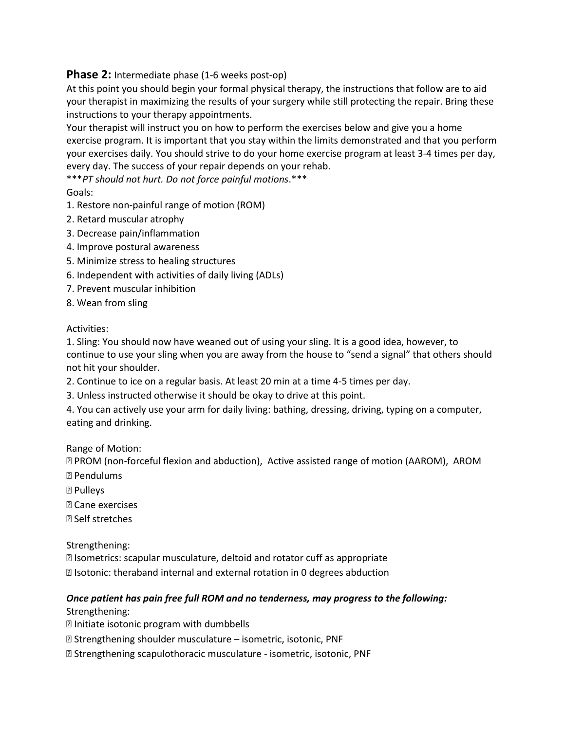## **Phase 2:** Intermediate phase (1-6 weeks post-op)

At this point you should begin your formal physical therapy, the instructions that follow are to aid your therapist in maximizing the results of your surgery while still protecting the repair. Bring these instructions to your therapy appointments.

Your therapist will instruct you on how to perform the exercises below and give you a home exercise program. It is important that you stay within the limits demonstrated and that you perform your exercises daily. You should strive to do your home exercise program at least 3-4 times per day, every day. The success of your repair depends on your rehab.

\*\*\**PT should not hurt. Do not force painful motions*.\*\*\*

Goals:

- 1. Restore non-painful range of motion (ROM)
- 2. Retard muscular atrophy
- 3. Decrease pain/inflammation
- 4. Improve postural awareness
- 5. Minimize stress to healing structures
- 6. Independent with activities of daily living (ADLs)
- 7. Prevent muscular inhibition
- 8. Wean from sling

### Activities:

1. Sling: You should now have weaned out of using your sling. It is a good idea, however, to continue to use your sling when you are away from the house to "send a signal" that others should not hit your shoulder.

- 2. Continue to ice on a regular basis. At least 20 min at a time 4-5 times per day.
- 3. Unless instructed otherwise it should be okay to drive at this point.
- 4. You can actively use your arm for daily living: bathing, dressing, driving, typing on a computer, eating and drinking.

Range of Motion:

 PROM (non-forceful flexion and abduction), Active assisted range of motion (AAROM), AROM Pendulums

- Pulleys
- Cane exercises
- Self stretches

Strengthening:

Isometrics: scapular musculature, deltoid and rotator cuff as appropriate

**I**sotonic: theraband internal and external rotation in 0 degrees abduction

## *Once patient has pain free full ROM and no tenderness, may progress to the following:*  Strengthening:

- Initiate isotonic program with dumbbells
- Strengthening shoulder musculature isometric, isotonic, PNF
- Strengthening scapulothoracic musculature isometric, isotonic, PNF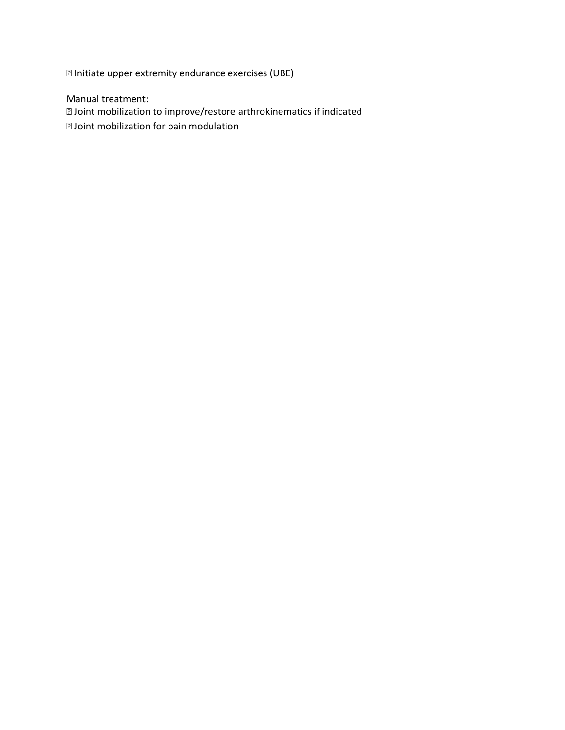Initiate upper extremity endurance exercises (UBE)

Manual treatment:

Joint mobilization to improve/restore arthrokinematics if indicated

Joint mobilization for pain modulation